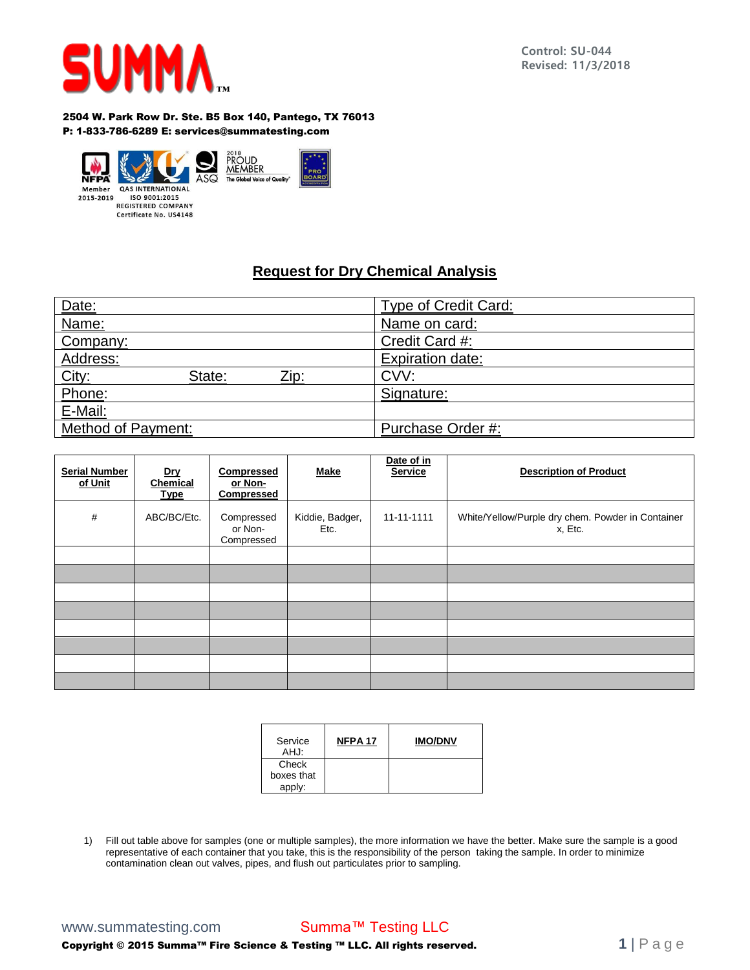

**Control: SU-044 Revised: 11/3/2018**

2504 W. Park Row Dr. Ste. B5 Box 140, Pantego, TX 76013 P: 1-833-786-6289 E: services@summatesting.com



## **Request for Dry Chemical Analysis**

| Date:                   | <b>Type of Credit Card:</b> |
|-------------------------|-----------------------------|
| Name:                   | Name on card:               |
| Company:                | Credit Card #:              |
| Address:                | <b>Expiration date:</b>     |
| State:<br>Zip:          | CVV:                        |
| <u>City:<br/>Phone:</u> | Signature:                  |
| E-Mail:                 |                             |
| Method of Payment:      | Purchase Order #:           |

| <b>Serial Number</b><br>of Unit | <u>Dry</u><br>Chemical<br><b>Type</b> | Compressed<br>or Non-<br><b>Compressed</b> | <b>Make</b>             | Date of in<br><b>Service</b> | <b>Description of Product</b>                                |
|---------------------------------|---------------------------------------|--------------------------------------------|-------------------------|------------------------------|--------------------------------------------------------------|
| $\#$                            | ABC/BC/Etc.                           | Compressed<br>or Non-<br>Compressed        | Kiddie, Badger,<br>Etc. | 11-11-1111                   | White/Yellow/Purple dry chem. Powder in Container<br>x, Etc. |
|                                 |                                       |                                            |                         |                              |                                                              |
|                                 |                                       |                                            |                         |                              |                                                              |
|                                 |                                       |                                            |                         |                              |                                                              |
|                                 |                                       |                                            |                         |                              |                                                              |
|                                 |                                       |                                            |                         |                              |                                                              |
|                                 |                                       |                                            |                         |                              |                                                              |
|                                 |                                       |                                            |                         |                              |                                                              |
|                                 |                                       |                                            |                         |                              |                                                              |

| Service<br>AHJ:               | NFPA <sub>17</sub> | <b>IMO/DNV</b> |
|-------------------------------|--------------------|----------------|
| Check<br>boxes that<br>apply: |                    |                |

1) Fill out table above for samples (one or multiple samples), the more information we have the better. Make sure the sample is a good representative of each container that you take, this is the responsibility of the person taking the sample. In order to minimize contamination clean out valves, pipes, and flush out particulates prior to sampling.